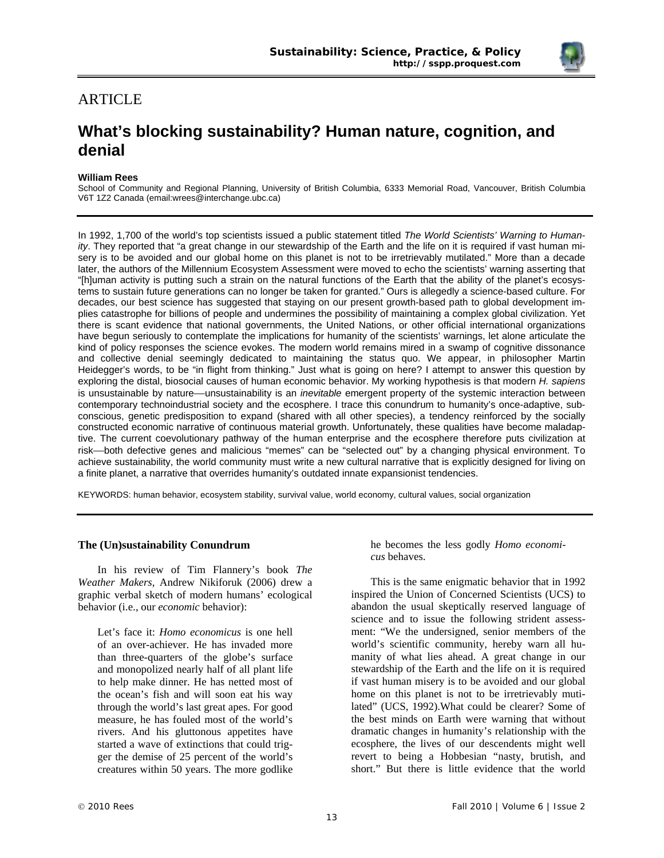

# ARTICLE

# **What's blocking sustainability? Human nature, cognition, and denial**

#### **William Rees**

School of Community and Regional Planning, University of British Columbia, 6333 Memorial Road, Vancouver, British Columbia V6T 1Z2 Canada (email:wrees@interchange.ubc.ca)

In 1992, 1,700 of the world's top scientists issued a public statement titled *The World Scientists' Warning to Humanity*. They reported that "a great change in our stewardship of the Earth and the life on it is required if vast human misery is to be avoided and our global home on this planet is not to be irretrievably mutilated." More than a decade later, the authors of the Millennium Ecosystem Assessment were moved to echo the scientists' warning asserting that "[h]uman activity is putting such a strain on the natural functions of the Earth that the ability of the planet's ecosystems to sustain future generations can no longer be taken for granted." Ours is allegedly a science-based culture. For decades, our best science has suggested that staying on our present growth-based path to global development implies catastrophe for billions of people and undermines the possibility of maintaining a complex global civilization. Yet there is scant evidence that national governments, the United Nations, or other official international organizations have begun seriously to contemplate the implications for humanity of the scientists' warnings, let alone articulate the kind of policy responses the science evokes. The modern world remains mired in a swamp of cognitive dissonance and collective denial seemingly dedicated to maintaining the status quo. We appear, in philosopher Martin Heidegger's words, to be "in flight from thinking." Just what is going on here? I attempt to answer this question by exploring the distal, biosocial causes of human economic behavior. My working hypothesis is that modern *H. sapiens* is unsustainable by nature—unsustainability is an *inevitable* emergent property of the systemic interaction between contemporary technoindustrial society and the ecosphere. I trace this conundrum to humanity's once-adaptive, subconscious, genetic predisposition to expand (shared with all other species), a tendency reinforced by the socially constructed economic narrative of continuous material growth. Unfortunately, these qualities have become maladaptive. The current coevolutionary pathway of the human enterprise and the ecosphere therefore puts civilization at risk—both defective genes and malicious "memes" can be "selected out" by a changing physical environment. To achieve sustainability, the world community must write a new cultural narrative that is explicitly designed for living on a finite planet, a narrative that overrides humanity's outdated innate expansionist tendencies.

KEYWORDS: human behavior, ecosystem stability, survival value, world economy, cultural values, social organization

### **The (Un)sustainability Conundrum**

In his review of Tim Flannery's book *The Weather Makers*, Andrew Nikiforuk (2006) drew a graphic verbal sketch of modern humans' ecological behavior (i.e., our *economic* behavior):

Let's face it: *Homo economicus* is one hell of an over-achiever. He has invaded more than three-quarters of the globe's surface and monopolized nearly half of all plant life to help make dinner. He has netted most of the ocean's fish and will soon eat his way through the world's last great apes. For good measure, he has fouled most of the world's rivers. And his gluttonous appetites have started a wave of extinctions that could trigger the demise of 25 percent of the world's creatures within 50 years. The more godlike

he becomes the less godly *Homo economicus* behaves.

This is the same enigmatic behavior that in 1992 inspired the Union of Concerned Scientists (UCS) to abandon the usual skeptically reserved language of science and to issue the following strident assessment: "We the undersigned, senior members of the world's scientific community, hereby warn all humanity of what lies ahead. A great change in our stewardship of the Earth and the life on it is required if vast human misery is to be avoided and our global home on this planet is not to be irretrievably mutilated" (UCS, 1992).What could be clearer? Some of the best minds on Earth were warning that without dramatic changes in humanity's relationship with the ecosphere, the lives of our descendents might well revert to being a Hobbesian "nasty, brutish, and short." But there is little evidence that the world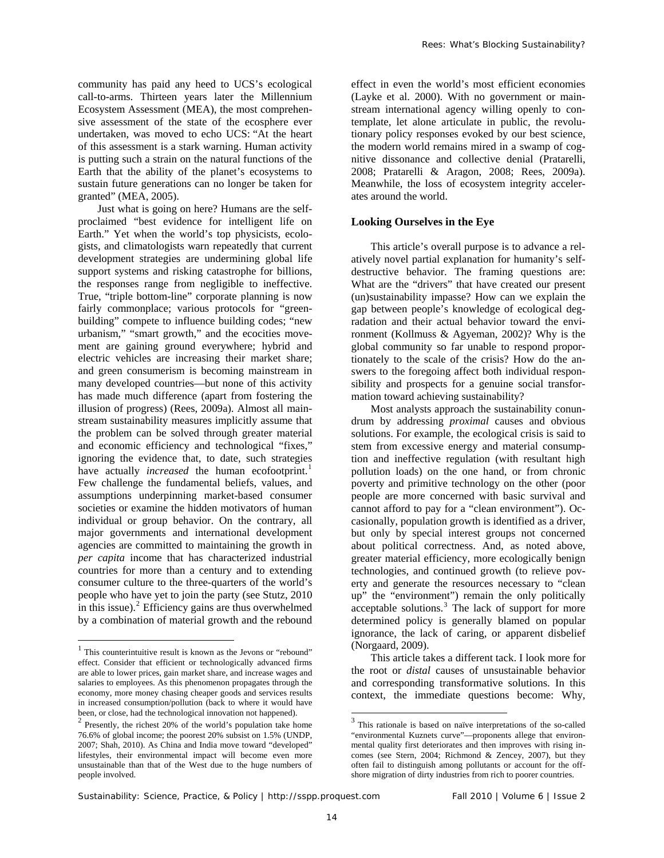is putting such a strain on the natural functions of the Earth that the ability of the planet's ecosystems to sustain future generations can no longer be taken for granted" (MEA, 2005).

Just what is going on here? Humans are the selfproclaimed "best evidence for intelligent life on Earth." Yet when the world's top physicists, ecologists, and climatologists warn repeatedly that current development strategies are undermining global life support systems and risking catastrophe for billions, the responses range from negligible to ineffective. True, "triple bottom-line" corporate planning is now fairly commonplace; various protocols for "greenbuilding" compete to influence building codes; "new urbanism," "smart growth," and the ecocities movement are gaining ground everywhere; hybrid and electric vehicles are increasing their market share; and green consumerism is becoming mainstream in many developed countries—but none of this activity has made much difference (apart from fostering the illusion of progress) (Rees, 2009a). Almost all mainstream sustainability measures implicitly assume that the problem can be solved through greater material and economic efficiency and technological "fixes," ignoring the evidence that, to date, such strategies have actually *increased* the human ecofootprint.<sup>[1](#page-1-0)</sup> Few challenge the fundamental beliefs, values, and assumptions underpinning market-based consumer societies or examine the hidden motivators of human individual or group behavior. On the contrary, all major governments and international development agencies are committed to maintaining the growth in *per capita* income that has characterized industrial countries for more than a century and to extending consumer culture to the three-quarters of the world's people who have yet to join the party (see Stutz, 2010 in this issue). $^{2}$  $^{2}$  $^{2}$  Efficiency gains are thus overwhelmed by a combination of material growth and the rebound

-

effect in even the world's most efficient economies (Layke et al. 2000). With no government or mainstream international agency willing openly to contemplate, let alone articulate in public, the revolutionary policy responses evoked by our best science, the modern world remains mired in a swamp of cognitive dissonance and collective denial (Pratarelli, 2008; Pratarelli & Aragon, 2008; Rees, 2009a). Meanwhile, the loss of ecosystem integrity accelerates around the world.

#### **Looking Ourselves in the Eye**

This article's overall purpose is to advance a relatively novel partial explanation for humanity's selfdestructive behavior. The framing questions are: What are the "drivers" that have created our present (un)sustainability impasse? How can we explain the gap between people's knowledge of ecological degradation and their actual behavior toward the environment (Kollmuss & Agyeman, 2002)? Why is the global community so far unable to respond proportionately to the scale of the crisis? How do the answers to the foregoing affect both individual responsibility and prospects for a genuine social transformation toward achieving sustainability?

Most analysts approach the sustainability conundrum by addressing *proximal* causes and obvious solutions. For example, the ecological crisis is said to stem from excessive energy and material consumption and ineffective regulation (with resultant high pollution loads) on the one hand, or from chronic poverty and primitive technology on the other (poor people are more concerned with basic survival and cannot afford to pay for a "clean environment"). Occasionally, population growth is identified as a driver, but only by special interest groups not concerned about political correctness. And, as noted above, greater material efficiency, more ecologically benign technologies, and continued growth (to relieve poverty and generate the resources necessary to "clean up" the "environment") remain the only politically acceptable solutions.<sup>[3](#page-1-1)</sup> The lack of support for more determined policy is generally blamed on popular ignorance, the lack of caring, or apparent disbelief (Norgaard, 2009).

This article takes a different tack. I look more for the root or *distal* causes of unsustainable behavior and corresponding transformative solutions. In this context, the immediate questions become: Why,

<span id="page-1-0"></span><sup>&</sup>lt;sup>1</sup> This counterintuitive result is known as the Jevons or "rebound" effect. Consider that efficient or technologically advanced firms are able to lower prices, gain market share, and increase wages and salaries to employees. As this phenomenon propagates through the economy, more money chasing cheaper goods and services results in increased consumption/pollution (back to where it would have been, or close, had the technological innovation not happened).

<span id="page-1-1"></span><sup>2</sup> Presently, the richest 20% of the world's population take home 76.6% of global income; the poorest 20% subsist on 1.5% (UNDP, 2007; Shah, 2010). As China and India move toward "developed" lifestyles, their environmental impact will become even more unsustainable than that of the West due to the huge numbers of people involved.

<sup>3</sup> This rationale is based on naïve interpretations of the so-called "environmental Kuznets curve"—proponents allege that environmental quality first deteriorates and then improves with rising incomes (see Stern, 2004; Richmond & Zencey, 2007), but they often fail to distinguish among pollutants or account for the offshore migration of dirty industries from rich to poorer countries.

Sustainability: Science, Practice, & Policy | http://sspp.proquest.com Fall 2010 | Volume 6 | Issue 2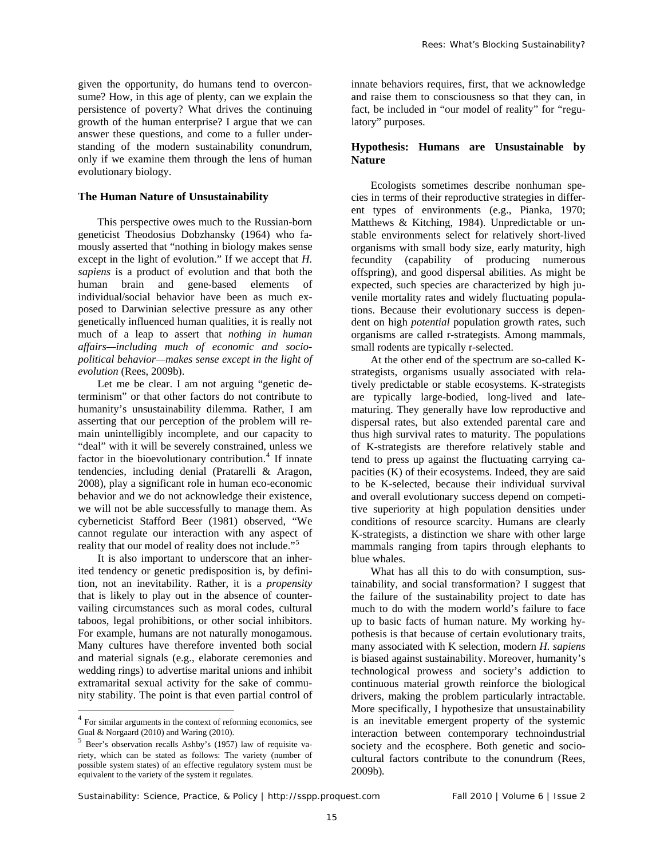given the opportunity, do humans tend to overconsume? How, in this age of plenty, can we explain the persistence of poverty? What drives the continuing growth of the human enterprise? I argue that we can answer these questions, and come to a fuller understanding of the modern sustainability conundrum, only if we examine them through the lens of human evolutionary biology.

## **The Human Nature of Unsustainability**

This perspective owes much to the Russian-born geneticist Theodosius Dobzhansky (1964) who famously asserted that "nothing in biology makes sense except in the light of evolution." If we accept that *H. sapiens* is a product of evolution and that both the human brain and gene-based elements of individual/social behavior have been as much exposed to Darwinian selective pressure as any other genetically influenced human qualities, it is really not much of a leap to assert that *nothing in human affairs—including much of economic and sociopolitical behavior—makes sense except in the light of evolution* (Rees, 2009b).

Let me be clear. I am not arguing "genetic determinism" or that other factors do not contribute to humanity's unsustainability dilemma. Rather, I am asserting that our perception of the problem will remain unintelligibly incomplete, and our capacity to "deal" with it will be severely constrained, unless we factor in the bioevolutionary contribution.<sup>[4](#page-2-0)</sup> If innate tendencies, including denial (Pratarelli & Aragon, 2008), play a significant role in human eco-economic behavior and we do not acknowledge their existence, we will not be able successfully to manage them. As cyberneticist Stafford Beer (1981) observed, "We cannot regulate our interaction with any aspect of reality that our model of reality does not include."<sup>[5](#page-2-1)</sup>

It is also important to underscore that an inherited tendency or genetic predisposition is, by definition, not an inevitability. Rather, it is a *propensity* that is likely to play out in the absence of countervailing circumstances such as moral codes, cultural taboos, legal prohibitions, or other social inhibitors. For example, humans are not naturally monogamous. Many cultures have therefore invented both social and material signals (e.g., elaborate ceremonies and wedding rings) to advertise marital unions and inhibit extramarital sexual activity for the sake of community stability. The point is that even partial control of

l

innate behaviors requires, first, that we acknowledge and raise them to consciousness so that they can, in fact, be included in "our model of reality" for "regulatory" purposes.

## **Hypothesis: Humans are Unsustainable by Nature**

Ecologists sometimes describe nonhuman species in terms of their reproductive strategies in different types of environments (e.g., Pianka, 1970; Matthews & Kitching, 1984). Unpredictable or unstable environments select for relatively short-lived organisms with small body size, early maturity, high fecundity (capability of producing numerous offspring), and good dispersal abilities. As might be expected, such species are characterized by high juvenile mortality rates and widely fluctuating populations. Because their evolutionary success is dependent on high *potential* population growth *r*ates, such organisms are called r-strategists. Among mammals, small rodents are typically r-selected.

At the other end of the spectrum are so-called Kstrategists, organisms usually associated with relatively predictable or stable ecosystems. K-strategists are typically large-bodied, long-lived and latematuring. They generally have low reproductive and dispersal rates, but also extended parental care and thus high survival rates to maturity. The populations of K-strategists are therefore relatively stable and tend to press up against the fluctuating carrying capacities (K) of their ecosystems. Indeed, they are said to be K-selected, because their individual survival and overall evolutionary success depend on competitive superiority at high population densities under conditions of resource scarcity. Humans are clearly K-strategists, a distinction we share with other large mammals ranging from tapirs through elephants to blue whales.

What has all this to do with consumption, sustainability, and social transformation? I suggest that the failure of the sustainability project to date has much to do with the modern world's failure to face up to basic facts of human nature. My working hypothesis is that because of certain evolutionary traits, many associated with K selection, modern *H. sapiens* is biased against sustainability. Moreover, humanity's technological prowess and society's addiction to continuous material growth reinforce the biological drivers, making the problem particularly intractable. More specifically, I hypothesize that unsustainability is an inevitable emergent property of the systemic interaction between contemporary technoindustrial society and the ecosphere. Both genetic and sociocultural factors contribute to the conundrum (Rees, 2009b)*.*

<span id="page-2-0"></span> $4$  For similar arguments in the context of reforming economics, see Gual & Norgaard (2010) and Waring (2010).

<span id="page-2-1"></span><sup>5</sup> Beer's observation recalls Ashby's (1957) law of requisite variety, which can be stated as follows: The variety (number of possible system states) of an effective regulatory system must be equivalent to the variety of the system it regulates.

Sustainability: Science, Practice, & Policy | http://sspp.proquest.com Fall 2010 | Volume 6 | Issue 2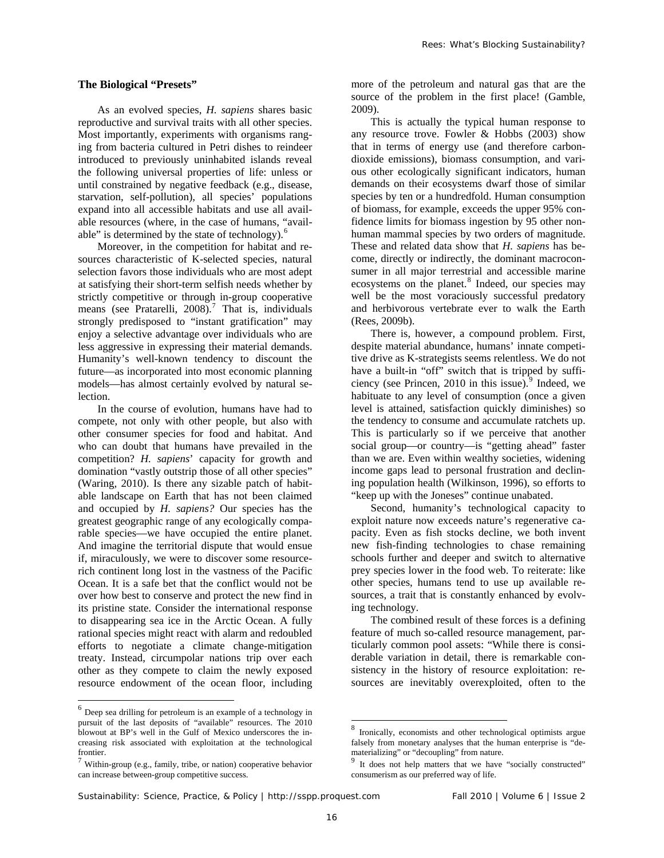#### **The Biological "Presets"**

As an evolved species, *H. sapiens* shares basic reproductive and survival traits with all other species. Most importantly, experiments with organisms ranging from bacteria cultured in Petri dishes to reindeer introduced to previously uninhabited islands reveal the following universal properties of life: unless or until constrained by negative feedback (e.g., disease, starvation, self-pollution), all species' populations expand into all accessible habitats and use all available resources (where, in the case of humans, "avail-able" is determined by the state of technology).<sup>[6](#page-3-0)</sup>

Moreover, in the competition for habitat and resources characteristic of K-selected species, natural selection favors those individuals who are most adept at satisfying their short-term selfish needs whether by strictly competitive or through in-group cooperative means (see Pratarelli,  $2008$ ).<sup>[7](#page-3-1)</sup> That is, individuals strongly predisposed to "instant gratification" may enjoy a selective advantage over individuals who are less aggressive in expressing their material demands. Humanity's well-known tendency to discount the future—as incorporated into most economic planning models—has almost certainly evolved by natural selection.

In the course of evolution, humans have had to compete, not only with other people, but also with other consumer species for food and habitat. And who can doubt that humans have prevailed in the competition? *H. sapiens*' capacity for growth and domination "vastly outstrip those of all other species" (Waring, 2010). Is there any sizable patch of habitable landscape on Earth that has not been claimed and occupied by *H. sapiens?* Our species has the greatest geographic range of any ecologically comparable species—we have occupied the entire planet. And imagine the territorial dispute that would ensue if, miraculously, we were to discover some resourcerich continent long lost in the vastness of the Pacific Ocean. It is a safe bet that the conflict would not be over how best to conserve and protect the new find in its pristine state. Consider the international response to disappearing sea ice in the Arctic Ocean. A fully rational species might react with alarm and redoubled efforts to negotiate a climate change-mitigation treaty. Instead, circumpolar nations trip over each other as they compete to claim the newly exposed resource endowment of the ocean floor, including

1

more of the petroleum and natural gas that are the source of the problem in the first place! (Gamble, 2009).

This is actually the typical human response to any resource trove. Fowler & Hobbs (2003) show that in terms of energy use (and therefore carbondioxide emissions), biomass consumption, and various other ecologically significant indicators, human demands on their ecosystems dwarf those of similar species by ten or a hundredfold. Human consumption of biomass, for example, exceeds the upper 95% confidence limits for biomass ingestion by 95 other nonhuman mammal species by two orders of magnitude. These and related data show that *H. sapiens* has become, directly or indirectly, the dominant macroconsumer in all major terrestrial and accessible marine ecosystems on the planet.<sup>[8](#page-3-2)</sup> Indeed, our species may well be the most voraciously successful predatory and herbivorous vertebrate ever to walk the Earth (Rees, 2009b).

There is, however, a compound problem. First, despite material abundance, humans' innate competitive drive as K-strategists seems relentless. We do not have a built-in "off" switch that is tripped by sufficiency (see Princen, 2010 in this issue). $9$  Indeed, we habituate to any level of consumption (once a given level is attained, satisfaction quickly diminishes) so the tendency to consume and accumulate ratchets up. This is particularly so if we perceive that another social group—or country—is "getting ahead" faster than we are. Even within wealthy societies, widening income gaps lead to personal frustration and declining population health (Wilkinson, 1996), so efforts to "keep up with the Joneses" continue unabated.

Second, humanity's technological capacity to exploit nature now exceeds nature's regenerative capacity. Even as fish stocks decline, we both invent new fish-finding technologies to chase remaining schools further and deeper and switch to alternative prey species lower in the food web. To reiterate: like other species, humans tend to use up available resources, a trait that is constantly enhanced by evolving technology.

The combined result of these forces is a defining feature of much so-called resource management, particularly common pool assets: "While there is considerable variation in detail, there is remarkable consistency in the history of resource exploitation: resources are inevitably overexploited, often to the

<span id="page-3-2"></span><span id="page-3-0"></span> $<sup>6</sup>$  Deep sea drilling for petroleum is an example of a technology in</sup> pursuit of the last deposits of "available" resources. The 2010 blowout at BP's well in the Gulf of Mexico underscores the increasing risk associated with exploitation at the technological frontier.

<span id="page-3-1"></span><sup>7</sup> Within-group (e.g., family, tribe, or nation) cooperative behavior can increase between-group competitive success.

Ironically, economists and other technological optimists argue falsely from monetary analyses that the human enterprise is "dematerializing" or "decoupling" from nature.

It does not help matters that we have "socially constructed" consumerism as our preferred way of life.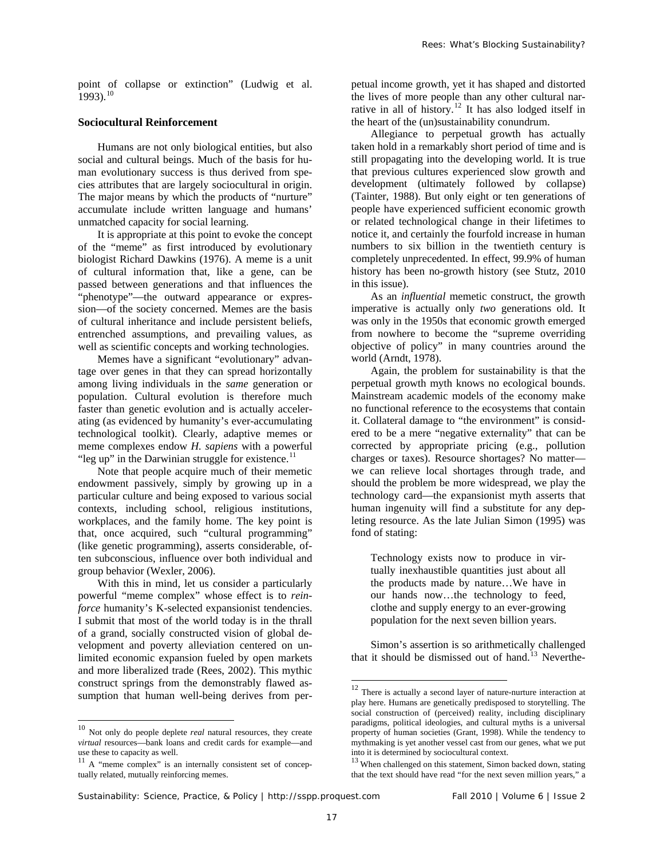point of collapse or extinction" (Ludwig et al.  $1993$ ).<sup>[10](#page-4-0)</sup>

### **Sociocultural Reinforcement**

Humans are not only biological entities, but also social and cultural beings. Much of the basis for human evolutionary success is thus derived from species attributes that are largely sociocultural in origin. The major means by which the products of "nurture" accumulate include written language and humans' unmatched capacity for social learning.

It is appropriate at this point to evoke the concept of the "meme" as first introduced by evolutionary biologist Richard Dawkins (1976). A meme is a unit of cultural information that, like a gene, can be passed between generations and that influences the "phenotype"—the outward appearance or expression—of the society concerned. Memes are the basis of cultural inheritance and include persistent beliefs, entrenched assumptions, and prevailing values, as well as scientific concepts and working technologies.

Memes have a significant "evolutionary" advantage over genes in that they can spread horizontally among living individuals in the *same* generation or population. Cultural evolution is therefore much faster than genetic evolution and is actually accelerating (as evidenced by humanity's ever-accumulating technological toolkit). Clearly, adaptive memes or meme complexes endow *H. sapiens* with a powerful "leg up" in the Darwinian struggle for existence. $<sup>11</sup>$  $<sup>11</sup>$  $<sup>11</sup>$ </sup>

Note that people acquire much of their memetic endowment passively, simply by growing up in a particular culture and being exposed to various social contexts, including school, religious institutions, workplaces, and the family home. The key point is that, once acquired, such "cultural programming" (like genetic programming), asserts considerable, often subconscious, influence over both individual and group behavior (Wexler, 2006).

With this in mind, let us consider a particularly powerful "meme complex" whose effect is to *reinforce* humanity's K-selected expansionist tendencies. I submit that most of the world today is in the thrall of a grand, socially constructed vision of global development and poverty alleviation centered on unlimited economic expansion fueled by open markets and more liberalized trade (Rees, 2002). This mythic construct springs from the demonstrably flawed assumption that human well-being derives from per-

<span id="page-4-2"></span>l

petual income growth, yet it has shaped and distorted the lives of more people than any other cultural nar-rative in all of history.<sup>[12](#page-4-2)</sup> It has also lodged itself in the heart of the (un)sustainability conundrum.

Allegiance to perpetual growth has actually taken hold in a remarkably short period of time and is still propagating into the developing world. It is true that previous cultures experienced slow growth and development (ultimately followed by collapse) (Tainter, 1988). But only eight or ten generations of people have experienced sufficient economic growth or related technological change in their lifetimes to notice it, and certainly the fourfold increase in human numbers to six billion in the twentieth century is completely unprecedented. In effect, 99.9% of human history has been no-growth history (see Stutz, 2010 in this issue).

As an *influential* memetic construct, the growth imperative is actually only *two* generations old. It was only in the 1950s that economic growth emerged from nowhere to become the "supreme overriding objective of policy" in many countries around the world (Arndt, 1978).

Again, the problem for sustainability is that the perpetual growth myth knows no ecological bounds. Mainstream academic models of the economy make no functional reference to the ecosystems that contain it. Collateral damage to "the environment" is considered to be a mere "negative externality" that can be corrected by appropriate pricing (e.g., pollution charges or taxes). Resource shortages? No matter we can relieve local shortages through trade, and should the problem be more widespread, we play the technology card—the expansionist myth asserts that human ingenuity will find a substitute for any depleting resource. As the late Julian Simon (1995) was fond of stating:

Technology exists now to produce in virtually inexhaustible quantities just about all the products made by nature…We have in our hands now…the technology to feed, clothe and supply energy to an ever-growing population for the next seven billion years.

Simon's assertion is so arithmetically challenged that it should be dismissed out of hand.<sup>[13](#page-4-1)</sup> Neverthe-

<span id="page-4-0"></span><sup>10</sup> Not only do people deplete *real* natural resources, they create *virtual* resources—bank loans and credit cards for example—and use these to capacity as well.

<span id="page-4-1"></span><sup>&</sup>lt;sup>11</sup> A "meme complex" is an internally consistent set of conceptually related, mutually reinforcing memes.

<sup>&</sup>lt;sup>12</sup> There is actually a second layer of nature-nurture interaction at play here. Humans are genetically predisposed to storytelling. The social construction of (perceived) reality, including disciplinary paradigms, political ideologies, and cultural myths is a universal property of human societies (Grant, 1998). While the tendency to mythmaking is yet another vessel cast from our genes, what we put

into it is determined by sociocultural context.<br> $13$  When challenged on this statement, Simon backed down, stating that the text should have read "for the next seven million years," a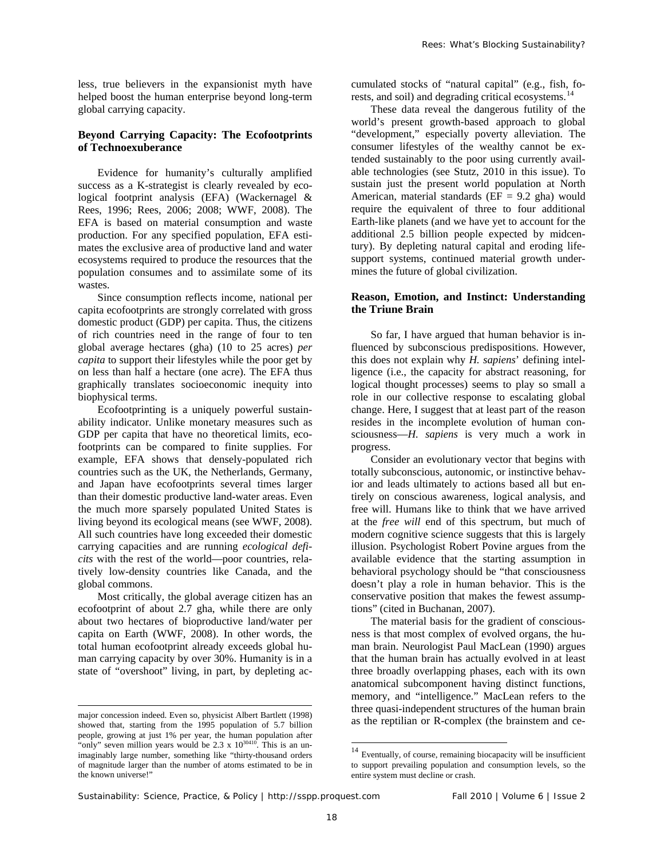less, true believers in the expansionist myth have helped boost the human enterprise beyond long-term global carrying capacity.

## **Beyond Carrying Capacity: The Ecofootprints of Technoexuberance**

Evidence for humanity's culturally amplified success as a K-strategist is clearly revealed by ecological footprint analysis (EFA) (Wackernagel & Rees, 1996; Rees, 2006; 2008; WWF, 2008). The EFA is based on material consumption and waste production. For any specified population, EFA estimates the exclusive area of productive land and water ecosystems required to produce the resources that the population consumes and to assimilate some of its wastes.

Since consumption reflects income, national per capita ecofootprints are strongly correlated with gross domestic product (GDP) per capita. Thus, the citizens of rich countries need in the range of four to ten global average hectares (gha) (10 to 25 acres) *per capita* to support their lifestyles while the poor get by on less than half a hectare (one acre). The EFA thus graphically translates socioeconomic inequity into biophysical terms.

Ecofootprinting is a uniquely powerful sustainability indicator. Unlike monetary measures such as GDP per capita that have no theoretical limits, ecofootprints can be compared to finite supplies. For example, EFA shows that densely-populated rich countries such as the UK, the Netherlands, Germany, and Japan have ecofootprints several times larger than their domestic productive land-water areas. Even the much more sparsely populated United States is living beyond its ecological means (see WWF, 2008). All such countries have long exceeded their domestic carrying capacities and are running *ecological deficits* with the rest of the world—poor countries, relatively low-density countries like Canada, and the global commons.

Most critically, the global average citizen has an ecofootprint of about 2.7 gha, while there are only about two hectares of bioproductive land/water per capita on Earth (WWF, 2008). In other words, the total human ecofootprint already exceeds global human carrying capacity by over 30%. Humanity is in a state of "overshoot" living, in part, by depleting ac-

l

cumulated stocks of "natural capital" (e.g., fish, fo-rests, and soil) and degrading critical ecosystems.<sup>[14](#page-5-0)</sup>

These data reveal the dangerous futility of the world's present growth-based approach to global "development," especially poverty alleviation. The consumer lifestyles of the wealthy cannot be extended sustainably to the poor using currently available technologies (see Stutz, 2010 in this issue). To sustain just the present world population at North American, material standards ( $EF = 9.2$  gha) would require the equivalent of three to four additional Earth-like planets (and we have yet to account for the additional 2.5 billion people expected by midcentury). By depleting natural capital and eroding lifesupport systems, continued material growth undermines the future of global civilization.

## **Reason, Emotion, and Instinct: Understanding the Triune Brain**

So far, I have argued that human behavior is influenced by subconscious predispositions. However, this does not explain why *H. sapiens*' defining intelligence (i.e., the capacity for abstract reasoning, for logical thought processes) seems to play so small a role in our collective response to escalating global change. Here, I suggest that at least part of the reason resides in the incomplete evolution of human consciousness—*H. sapiens* is very much a work in progress.

Consider an evolutionary vector that begins with totally subconscious, autonomic, or instinctive behavior and leads ultimately to actions based all but entirely on conscious awareness, logical analysis, and free will. Humans like to think that we have arrived at the *free will* end of this spectrum, but much of modern cognitive science suggests that this is largely illusion. Psychologist Robert Povine argues from the available evidence that the starting assumption in behavioral psychology should be "that consciousness doesn't play a role in human behavior. This is the conservative position that makes the fewest assumptions" (cited in Buchanan, 2007).

The material basis for the gradient of consciousness is that most complex of evolved organs, the human brain. Neurologist Paul MacLean (1990) argues that the human brain has actually evolved in at least three broadly overlapping phases, each with its own anatomical subcomponent having distinct functions, memory, and "intelligence." MacLean refers to the three quasi-independent structures of the human brain as the reptilian or R-complex (the brainstem and ce-

l

<span id="page-5-0"></span>major concession indeed. Even so, physicist Albert Bartlett (1998) showed that, starting from the 1995 population of 5.7 billion people, growing at just 1% per year, the human population after "only" seven million years would be  $2.3 \times 10^{30410}$ . This is an unimaginably large number, something like "thirty-thousand orders of magnitude larger than the number of atoms estimated to be in the known universe!"

<sup>&</sup>lt;sup>14</sup> Eventually, of course, remaining biocapacity will be insufficient to support prevailing population and consumption levels, so the entire system must decline or crash.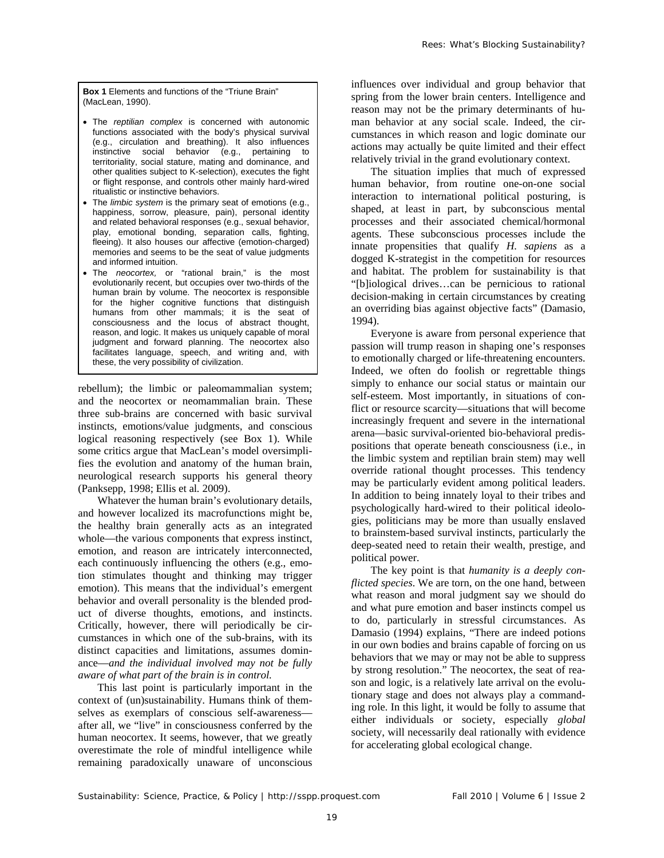**Box 1** Elements and functions of the "Triune Brain" (MacLean, 1990).

- The *reptilian complex* is concerned with autonomic functions associated with the body's physical survival (e.g., circulation and breathing). It also influences instinctive social behavior (e.g., pertaining to territoriality, social stature, mating and dominance, and other qualities subject to K-selection), executes the fight or flight response, and controls other mainly hard-wired ritualistic or instinctive behaviors.
- The *limbic system* is the primary seat of emotions (e.g., happiness, sorrow, pleasure, pain), personal identity and related behavioral responses (e.g., sexual behavior, play, emotional bonding, separation calls, fighting, fleeing). It also houses our affective (emotion-charged) memories and seems to be the seat of value judgments and informed intuition.
- The *neocortex,* or "rational brain," is the most evolutionarily recent, but occupies over two-thirds of the human brain by volume. The neocortex is responsible for the higher cognitive functions that distinguish humans from other mammals; it is the seat of consciousness and the locus of abstract thought, reason, and logic. It makes us uniquely capable of moral judgment and forward planning. The neocortex also facilitates language, speech, and writing and, with these, the very possibility of civilization.

rebellum); the limbic or paleomammalian system; and the neocortex or neomammalian brain. These three sub-brains are concerned with basic survival instincts, emotions/value judgments, and conscious logical reasoning respectively (see Box 1). While some critics argue that MacLean's model oversimplifies the evolution and anatomy of the human brain, neurological research supports his general theory (Panksepp, 1998; Ellis et al*.* 2009).

Whatever the human brain's evolutionary details, and however localized its macrofunctions might be, the healthy brain generally acts as an integrated whole—the various components that express instinct, emotion, and reason are intricately interconnected, each continuously influencing the others (e.g., emotion stimulates thought and thinking may trigger emotion). This means that the individual's emergent behavior and overall personality is the blended product of diverse thoughts, emotions, and instincts. Critically, however, there will periodically be circumstances in which one of the sub-brains, with its distinct capacities and limitations, assumes dominance—*and the individual involved may not be fully aware of what part of the brain is in control.* 

This last point is particularly important in the context of (un)sustainability. Humans think of themselves as exemplars of conscious self-awareness after all, we "live" in consciousness conferred by the human neocortex. It seems, however, that we greatly overestimate the role of mindful intelligence while remaining paradoxically unaware of unconscious influences over individual and group behavior that spring from the lower brain centers. Intelligence and reason may not be the primary determinants of human behavior at any social scale. Indeed, the circumstances in which reason and logic dominate our actions may actually be quite limited and their effect relatively trivial in the grand evolutionary context.

The situation implies that much of expressed human behavior, from routine one-on-one social interaction to international political posturing, is shaped, at least in part, by subconscious mental processes and their associated chemical/hormonal agents. These subconscious processes include the innate propensities that qualify *H. sapiens* as a dogged K-strategist in the competition for resources and habitat. The problem for sustainability is that "[b]iological drives…can be pernicious to rational decision-making in certain circumstances by creating an overriding bias against objective facts" (Damasio, 1994).

Everyone is aware from personal experience that passion will trump reason in shaping one's responses to emotionally charged or life-threatening encounters. Indeed, we often do foolish or regrettable things simply to enhance our social status or maintain our self-esteem. Most importantly, in situations of conflict or resource scarcity—situations that will become increasingly frequent and severe in the international arena—basic survival-oriented bio-behavioral predispositions that operate beneath consciousness (i.e., in the limbic system and reptilian brain stem) may well override rational thought processes. This tendency may be particularly evident among political leaders. In addition to being innately loyal to their tribes and psychologically hard-wired to their political ideologies, politicians may be more than usually enslaved to brainstem-based survival instincts, particularly the deep-seated need to retain their wealth, prestige, and political power.

The key point is that *humanity is a deeply conflicted species*. We are torn, on the one hand, between what reason and moral judgment say we should do and what pure emotion and baser instincts compel us to do, particularly in stressful circumstances. As Damasio (1994) explains, "There are indeed potions in our own bodies and brains capable of forcing on us behaviors that we may or may not be able to suppress by strong resolution." The neocortex, the seat of reason and logic, is a relatively late arrival on the evolutionary stage and does not always play a commanding role. In this light, it would be folly to assume that either individuals or society, especially *global* society, will necessarily deal rationally with evidence for accelerating global ecological change.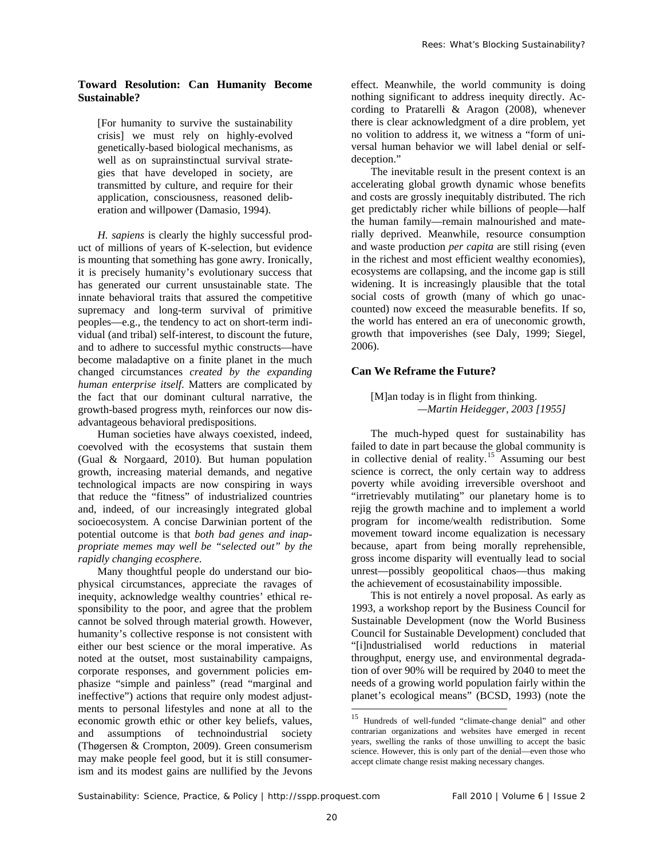## **Toward Resolution: Can Humanity Become Sustainable?**

[For humanity to survive the sustainability crisis] we must rely on highly-evolved genetically-based biological mechanisms, as well as on suprainstinctual survival strategies that have developed in society, are transmitted by culture, and require for their application, consciousness, reasoned deliberation and willpower (Damasio, 1994).

*H. sapiens* is clearly the highly successful product of millions of years of K-selection, but evidence is mounting that something has gone awry. Ironically, it is precisely humanity's evolutionary success that has generated our current unsustainable state. The innate behavioral traits that assured the competitive supremacy and long-term survival of primitive peoples—e.g., the tendency to act on short-term individual (and tribal) self-interest, to discount the future, and to adhere to successful mythic constructs—have become maladaptive on a finite planet in the much changed circumstances *created by the expanding human enterprise itself*. Matters are complicated by the fact that our dominant cultural narrative, the growth-based progress myth, reinforces our now disadvantageous behavioral predispositions.

Human societies have always coexisted, indeed, coevolved with the ecosystems that sustain them (Gual & Norgaard, 2010). But human population growth, increasing material demands, and negative technological impacts are now conspiring in ways that reduce the "fitness" of industrialized countries and, indeed, of our increasingly integrated global socioecosystem. A concise Darwinian portent of the potential outcome is that *both bad genes and inappropriate memes may well be "selected out" by the rapidly changing ecosphere*.

<span id="page-7-0"></span>Many thoughtful people do understand our biophysical circumstances, appreciate the ravages of inequity, acknowledge wealthy countries' ethical responsibility to the poor, and agree that the problem cannot be solved through material growth. However, humanity's collective response is not consistent with either our best science or the moral imperative. As noted at the outset, most sustainability campaigns, corporate responses, and government policies emphasize "simple and painless" (read "marginal and ineffective") actions that require only modest adjustments to personal lifestyles and none at all to the economic growth ethic or other key beliefs, values, and assumptions of technoindustrial society (Thøgersen & Crompton, 2009). Green consumerism may make people feel good, but it is still consumerism and its modest gains are nullified by the Jevons effect. Meanwhile, the world community is doing nothing significant to address inequity directly. According to Pratarelli & Aragon (2008), whenever there is clear acknowledgment of a dire problem, yet no volition to address it, we witness a "form of universal human behavior we will label denial or selfdeception."

The inevitable result in the present context is an accelerating global growth dynamic whose benefits and costs are grossly inequitably distributed. The rich get predictably richer while billions of people—half the human family—remain malnourished and materially deprived. Meanwhile, resource consumption and waste production *per capita* are still rising (even in the richest and most efficient wealthy economies), ecosystems are collapsing, and the income gap is still widening. It is increasingly plausible that the total social costs of growth (many of which go unaccounted) now exceed the measurable benefits. If so, the world has entered an era of uneconomic growth, growth that impoverishes (see Daly, 1999; Siegel, 2006).

## **Can We Reframe the Future?**

## [M]an today is in flight from thinking. *—Martin Heidegger, 2003 [1955]*

The much-hyped quest for sustainability has failed to date in part because the global community is in collective denial of reality.[15](#page-7-0) Assuming our best science is correct, the only certain way to address poverty while avoiding irreversible overshoot and "irretrievably mutilating" our planetary home is to rejig the growth machine and to implement a world program for income/wealth redistribution. Some movement toward income equalization is necessary because, apart from being morally reprehensible, gross income disparity will eventually lead to social unrest—possibly geopolitical chaos—thus making the achievement of ecosustainability impossible.

This is not entirely a novel proposal. As early as 1993, a workshop report by the Business Council for Sustainable Development (now the World Business Council for Sustainable Development) concluded that "[i]ndustrialised world reductions in material throughput, energy use, and environmental degradation of over 90% will be required by 2040 to meet the needs of a growing world population fairly within the planet's ecological means" (BCSD, 1993) (note the

l

<sup>15</sup> Hundreds of well-funded "climate-change denial" and other contrarian organizations and websites have emerged in recent years, swelling the ranks of those unwilling to accept the basic science. However, this is only part of the denial—even those who accept climate change resist making necessary changes.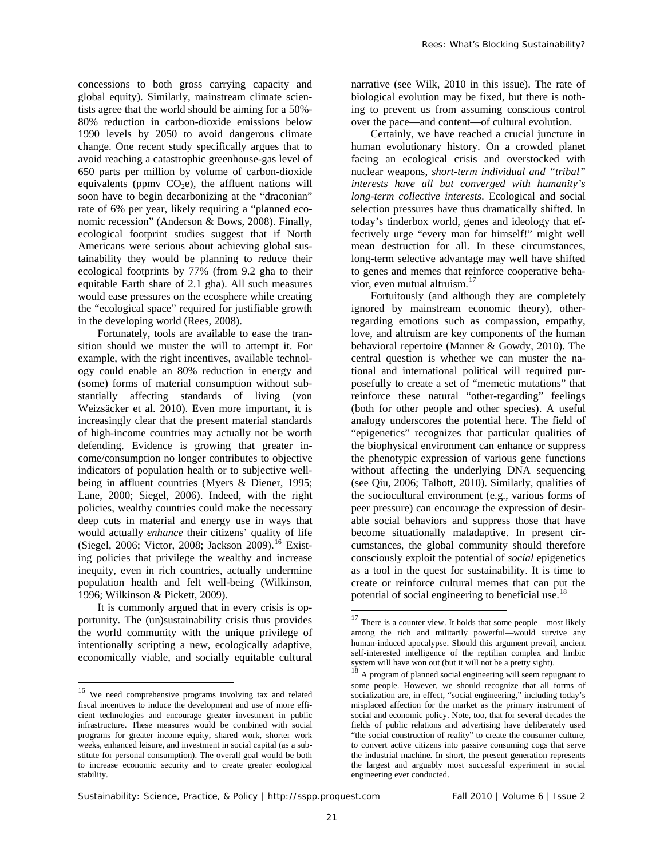concessions to both gross carrying capacity and global equity). Similarly, mainstream climate scientists agree that the world should be aiming for a 50%- 80% reduction in carbon-dioxide emissions below 1990 levels by 2050 to avoid dangerous climate change. One recent study specifically argues that to avoid reaching a catastrophic greenhouse-gas level of 650 parts per million by volume of carbon-dioxide equivalents (ppmv  $CO<sub>2</sub>e$ ), the affluent nations will soon have to begin decarbonizing at the "draconian" rate of 6% per year, likely requiring a "planned economic recession" (Anderson & Bows, 2008). Finally, ecological footprint studies suggest that if North Americans were serious about achieving global sustainability they would be planning to reduce their ecological footprints by 77% (from 9.2 gha to their equitable Earth share of 2.1 gha). All such measures would ease pressures on the ecosphere while creating the "ecological space" required for justifiable growth in the developing world (Rees, 2008).

Fortunately, tools are available to ease the transition should we muster the will to attempt it. For example, with the right incentives, available technology could enable an 80% reduction in energy and (some) forms of material consumption without substantially affecting standards of living (von Weizsäcker et al. 2010). Even more important, it is increasingly clear that the present material standards of high-income countries may actually not be worth defending. Evidence is growing that greater income/consumption no longer contributes to objective indicators of population health or to subjective wellbeing in affluent countries (Myers & Diener, 1995; Lane, 2000; Siegel, 2006). Indeed, with the right policies, wealthy countries could make the necessary deep cuts in material and energy use in ways that would actually *enhance* their citizens' quality of life (Siegel, 2006; Victor, 2008; Jackson 2009).<sup>[16](#page-8-0)</sup> Existing policies that privilege the wealthy and increase inequity, even in rich countries, actually undermine population health and felt well-being (Wilkinson, 1996; Wilkinson & Pickett, 2009).

<span id="page-8-1"></span>It is commonly argued that in every crisis is opportunity. The (un)sustainability crisis thus provides the world community with the unique privilege of intentionally scripting a new, ecologically adaptive, economically viable, and socially equitable cultural

<span id="page-8-2"></span>l

narrative (see Wilk, 2010 in this issue). The rate of biological evolution may be fixed, but there is nothing to prevent us from assuming conscious control over the pace—and content—of cultural evolution.

Certainly, we have reached a crucial juncture in human evolutionary history. On a crowded planet facing an ecological crisis and overstocked with nuclear weapons, *short-term individual and "tribal" interests have all but converged with humanity's long-term collective interests*. Ecological and social selection pressures have thus dramatically shifted. In today's tinderbox world, genes and ideology that effectively urge "every man for himself!" might well mean destruction for all. In these circumstances, long-term selective advantage may well have shifted to genes and memes that reinforce cooperative beha-vior, even mutual altruism.<sup>[17](#page-8-1)</sup>

Fortuitously (and although they are completely ignored by mainstream economic theory), otherregarding emotions such as compassion, empathy, love, and altruism are key components of the human behavioral repertoire (Manner & Gowdy, 2010). The central question is whether we can muster the national and international political will required purposefully to create a set of "memetic mutations" that reinforce these natural "other-regarding" feelings (both for other people and other species). A useful analogy underscores the potential here. The field of "epigenetics" recognizes that particular qualities of the biophysical environment can enhance or suppress the phenotypic expression of various gene functions without affecting the underlying DNA sequencing (see Qiu, 2006; Talbott, 2010). Similarly, qualities of the sociocultural environment (e.g., various forms of peer pressure) can encourage the expression of desirable social behaviors and suppress those that have become situationally maladaptive. In present circumstances, the global community should therefore consciously exploit the potential of *social* epigenetics as a tool in the quest for sustainability. It is time to create or reinforce cultural memes that can put the potential of social engineering to beneficial use.<sup>[18](#page-8-2)</sup>

Sustainability: Science, Practice, & Policy | http://sspp.proquest.com Fall 2010 | Volume 6 | Issue 2

<span id="page-8-0"></span><sup>&</sup>lt;sup>16</sup> We need comprehensive programs involving tax and related fiscal incentives to induce the development and use of more efficient technologies and encourage greater investment in public infrastructure. These measures would be combined with social programs for greater income equity, shared work, shorter work weeks, enhanced leisure, and investment in social capital (as a substitute for personal consumption). The overall goal would be both to increase economic security and to create greater ecological stability.

 $17$  There is a counter view. It holds that some people—most likely among the rich and militarily powerful—would survive any human-induced apocalypse. Should this argument prevail, ancient self-interested intelligence of the reptilian complex and limbic system will have won out (but it will not be a pretty sight).<br><sup>18</sup> A program of planned social engineering will seem repugnant to

some people. However, we should recognize that all forms of socialization are, in effect, "social engineering," including today's misplaced affection for the market as the primary instrument of social and economic policy. Note, too, that for several decades the fields of public relations and advertising have deliberately used "the social construction of reality" to create the consumer culture, to convert active citizens into passive consuming cogs that serve the industrial machine. In short, the present generation represents the largest and arguably most successful experiment in social engineering ever conducted.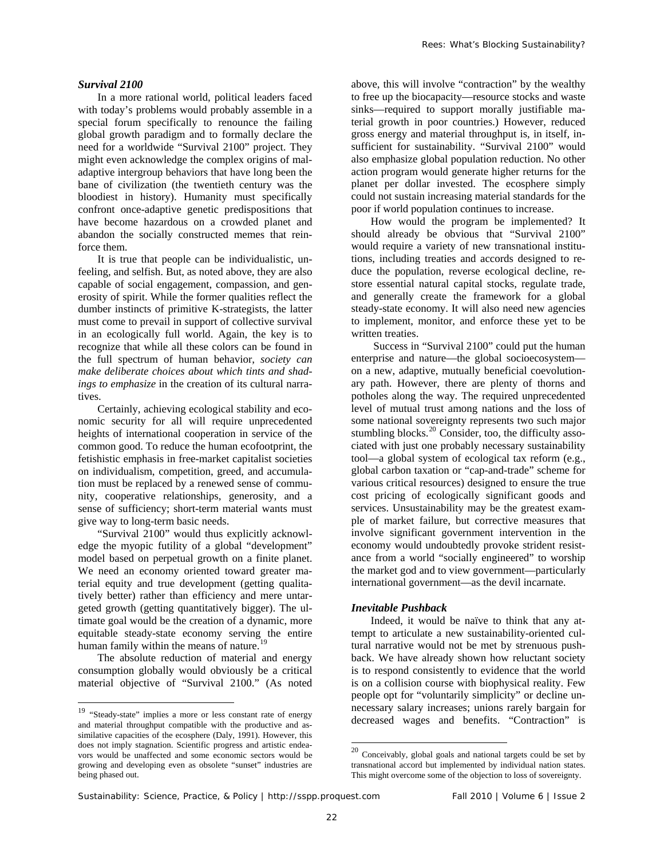#### *Survival 2100*

In a more rational world, political leaders faced with today's problems would probably assemble in a special forum specifically to renounce the failing global growth paradigm and to formally declare the need for a worldwide "Survival 2100" project. They might even acknowledge the complex origins of maladaptive intergroup behaviors that have long been the bane of civilization (the twentieth century was the bloodiest in history). Humanity must specifically confront once-adaptive genetic predispositions that have become hazardous on a crowded planet and abandon the socially constructed memes that reinforce them.

It is true that people can be individualistic, unfeeling, and selfish. But, as noted above, they are also capable of social engagement, compassion, and generosity of spirit. While the former qualities reflect the dumber instincts of primitive K-strategists, the latter must come to prevail in support of collective survival in an ecologically full world. Again, the key is to recognize that while all these colors can be found in the full spectrum of human behavior, *society can make deliberate choices about which tints and shadings to emphasize* in the creation of its cultural narratives.

Certainly, achieving ecological stability and economic security for all will require unprecedented heights of international cooperation in service of the common good. To reduce the human ecofootprint, the fetishistic emphasis in free-market capitalist societies on individualism, competition, greed, and accumulation must be replaced by a renewed sense of community, cooperative relationships, generosity, and a sense of sufficiency; short-term material wants must give way to long-term basic needs.

"Survival 2100" would thus explicitly acknowledge the myopic futility of a global "development" model based on perpetual growth on a finite planet. We need an economy oriented toward greater material equity and true development (getting qualitatively better) rather than efficiency and mere untargeted growth (getting quantitatively bigger). The ultimate goal would be the creation of a dynamic, more equitable steady-state economy serving the entire human family within the means of nature.<sup>19</sup>

The absolute reduction of material and energy consumption globally would obviously be a critical material objective of "Survival 2100." (As noted

l

above, this will involve "contraction" by the wealthy to free up the biocapacity—resource stocks and waste sinks—required to support morally justifiable material growth in poor countries.) However, reduced gross energy and material throughput is, in itself, insufficient for sustainability. "Survival 2100" would also emphasize global population reduction. No other action program would generate higher returns for the planet per dollar invested. The ecosphere simply could not sustain increasing material standards for the poor if world population continues to increase.

How would the program be implemented? It should already be obvious that "Survival 2100" would require a variety of new transnational institutions, including treaties and accords designed to reduce the population, reverse ecological decline, restore essential natural capital stocks, regulate trade, and generally create the framework for a global steady-state economy. It will also need new agencies to implement, monitor, and enforce these yet to be written treaties.

 Success in "Survival 2100" could put the human enterprise and nature—the global socioecosystem on a new, adaptive, mutually beneficial coevolutionary path. However, there are plenty of thorns and potholes along the way. The required unprecedented level of mutual trust among nations and the loss of some national sovereignty represents two such major stumbling blocks. $20$  Consider, too, the difficulty associated with just one probably necessary sustainability tool—a global system of ecological tax reform (e.g., global carbon taxation or "cap-and-trade" scheme for various critical resources) designed to ensure the true cost pricing of ecologically significant goods and services. Unsustainability may be the greatest example of market failure, but corrective measures that involve significant government intervention in the economy would undoubtedly provoke strident resistance from a world "socially engineered" to worship the market god and to view government—particularly international government—as the devil incarnate.

### *Inevitable Pushback*

Indeed, it would be naïve to think that any attempt to articulate a new sustainability-oriented cultural narrative would not be met by strenuous pushback. We have already shown how reluctant society is to respond consistently to evidence that the world is on a collision course with biophysical reality. Few people opt for "voluntarily simplicity" or decline unnecessary salary increases; unions rarely bargain for decreased wages and benefits. "Contraction" is

<span id="page-9-1"></span><span id="page-9-0"></span><sup>19</sup> "Steady-state" implies a more or less constant rate of energy and material throughput compatible with the productive and assimilative capacities of the ecosphere (Daly, 1991). However, this does not imply stagnation. Scientific progress and artistic endeavors would be unaffected and some economic sectors would be growing and developing even as obsolete "sunset" industries are being phased out.

<sup>20</sup> Conceivably, global goals and national targets could be set by transnational accord but implemented by individual nation states. This might overcome some of the objection to loss of sovereignty.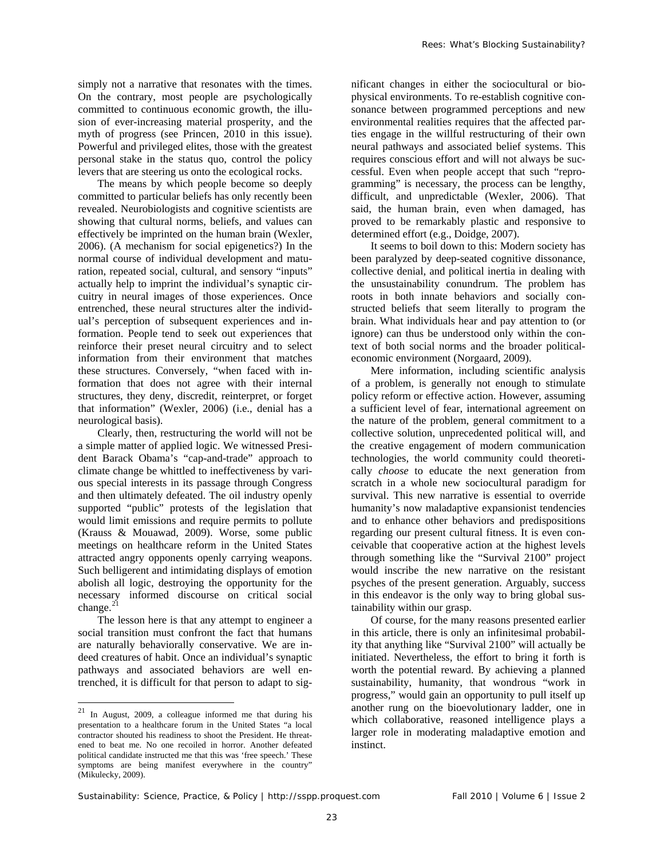simply not a narrative that resonates with the times. On the contrary, most people are psychologically committed to continuous economic growth, the illusion of ever-increasing material prosperity, and the myth of progress (see Princen, 2010 in this issue). Powerful and privileged elites, those with the greatest personal stake in the status quo, control the policy levers that are steering us onto the ecological rocks.

The means by which people become so deeply committed to particular beliefs has only recently been revealed. Neurobiologists and cognitive scientists are showing that cultural norms, beliefs, and values can effectively be imprinted on the human brain (Wexler, 2006). (A mechanism for social epigenetics?) In the normal course of individual development and maturation, repeated social, cultural, and sensory "inputs" actually help to imprint the individual's synaptic circuitry in neural images of those experiences. Once entrenched, these neural structures alter the individual's perception of subsequent experiences and information. People tend to seek out experiences that reinforce their preset neural circuitry and to select information from their environment that matches these structures. Conversely, "when faced with information that does not agree with their internal structures, they deny, discredit, reinterpret, or forget that information" (Wexler, 2006) (i.e., denial has a neurological basis).

Clearly, then, restructuring the world will not be a simple matter of applied logic. We witnessed President Barack Obama's "cap-and-trade" approach to climate change be whittled to ineffectiveness by various special interests in its passage through Congress and then ultimately defeated. The oil industry openly supported "public" protests of the legislation that would limit emissions and require permits to pollute (Krauss & Mouawad, 2009). Worse, some public meetings on healthcare reform in the United States attracted angry opponents openly carrying weapons. Such belligerent and intimidating displays of emotion abolish all logic, destroying the opportunity for the necessary informed discourse on critical social change. $^{2}$ 

The lesson here is that any attempt to engineer a social transition must confront the fact that humans are naturally behaviorally conservative. We are indeed creatures of habit. Once an individual's synaptic pathways and associated behaviors are well entrenched, it is difficult for that person to adapt to sig-

nificant changes in either the sociocultural or biophysical environments. To re-establish cognitive consonance between programmed perceptions and new environmental realities requires that the affected parties engage in the willful restructuring of their own neural pathways and associated belief systems. This requires conscious effort and will not always be successful. Even when people accept that such "reprogramming" is necessary, the process can be lengthy, difficult, and unpredictable (Wexler, 2006). That said, the human brain, even when damaged, has proved to be remarkably plastic and responsive to determined effort (e.g., Doidge, 2007).

It seems to boil down to this: Modern society has been paralyzed by deep-seated cognitive dissonance, collective denial, and political inertia in dealing with the unsustainability conundrum. The problem has roots in both innate behaviors and socially constructed beliefs that seem literally to program the brain. What individuals hear and pay attention to (or ignore) can thus be understood only within the context of both social norms and the broader politicaleconomic environment (Norgaard, 2009).

Mere information, including scientific analysis of a problem, is generally not enough to stimulate policy reform or effective action. However, assuming a sufficient level of fear, international agreement on the nature of the problem, general commitment to a collective solution, unprecedented political will, and the creative engagement of modern communication technologies, the world community could theoretically *choose* to educate the next generation from scratch in a whole new sociocultural paradigm for survival. This new narrative is essential to override humanity's now maladaptive expansionist tendencies and to enhance other behaviors and predispositions regarding our present cultural fitness. It is even conceivable that cooperative action at the highest levels through something like the "Survival 2100" project would inscribe the new narrative on the resistant psyches of the present generation. Arguably, success in this endeavor is the only way to bring global sustainability within our grasp.

 Of course, for the many reasons presented earlier in this article, there is only an infinitesimal probability that anything like "Survival 2100" will actually be initiated. Nevertheless, the effort to bring it forth is worth the potential reward. By achieving a planned sustainability, humanity, that wondrous "work in progress," would gain an opportunity to pull itself up another rung on the bioevolutionary ladder, one in which collaborative, reasoned intelligence plays a larger role in moderating maladaptive emotion and instinct.

Sustainability: Science, Practice, & Policy | http://sspp.proquest.com Fall 2010 | Volume 6 | Issue 2

<span id="page-10-0"></span> $21\,$ In August, 2009, a colleague informed me that during his presentation to a healthcare forum in the United States "a local contractor shouted his readiness to shoot the President. He threatened to beat me. No one recoiled in horror. Another defeated political candidate instructed me that this was 'free speech.' These symptoms are being manifest everywhere in the country" (Mikulecky, 2009).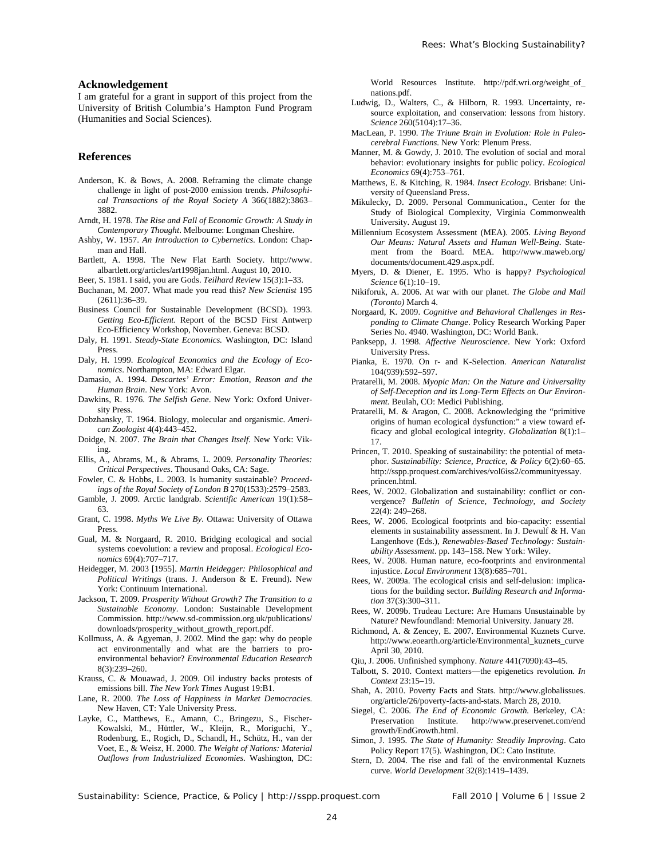#### **Acknowledgement**

I am grateful for a grant in support of this project from the University of British Columbia's Hampton Fund Program (Humanities and Social Sciences).

#### **References**

- Anderson, K. & Bows, A. 2008. Reframing the climate change challenge in light of post-2000 emission trends. *Philosophical Transactions of the Royal Society A* 366(1882):3863– 3882.
- Arndt, H. 1978. *The Rise and Fall of Economic Growth: A Study in Contemporary Thought*. Melbourne: Longman Cheshire.
- Ashby, W. 1957. *An Introduction to Cybernetics*. London: Chapman and Hall.
- Bartlett, A. 1998. The New Flat Earth Society. http://www. albartlett.org/articles/art1998jan.html. August 10, 2010.
- Beer, S. 1981. I said, you are Gods. *Teilhard Review* 15(3):1–33.
- Buchanan, M. 2007. What made you read this? *New Scientist* 195 (2611):36–39.
- Business Council for Sustainable Development (BCSD). 1993. *Getting Eco-Efficient*. Report of the BCSD First Antwerp Eco-Efficiency Workshop, November. Geneva: BCSD.
- Daly, H. 1991. *Steady-State Economics.* Washington, DC: Island Press.
- Daly, H. 1999. *Ecological Economics and the Ecology of Economics*. Northampton, MA: Edward Elgar.
- Damasio, A. 1994. *Descartes' Error: Emotion, Reason and the Human Brain*. New York: Avon.
- Dawkins, R. 1976. *The Selfish Gene*. New York: Oxford University Press.
- Dobzhansky, T. 1964. Biology, molecular and organismic. *American Zoologist* 4(4):443–452.
- Doidge, N. 2007. *The Brain that Changes Itself*. New York: Viking.
- Ellis, A., Abrams, M., & Abrams, L. 2009. *Personality Theories: Critical Perspectives*. Thousand Oaks, CA: Sage.
- Fowler, C. & Hobbs, L. 2003. Is humanity sustainable? *Proceedings of the Royal Society of London B* 270(1533):2579–2583.
- Gamble, J. 2009. Arctic landgrab. *Scientific American* 19(1):58– 63.
- Grant, C. 1998. *Myths We Live By*. Ottawa: University of Ottawa Press.
- Gual, M. & Norgaard, R. 2010. Bridging ecological and social systems coevolution: a review and proposal. *Ecological Economics* 69(4):707–717.
- Heidegger, M. 2003 [1955]. *Martin Heidegger: Philosophical and Political Writings* (trans. J. Anderson & E. Freund). New York: Continuum International.
- Jackson, T. 2009. *Prosperity Without Growth? The Transition to a Sustainable Economy*. London: Sustainable Development Commission. http://www.sd-commission.org.uk/publications/ downloads/prosperity\_without\_growth\_report.pdf.
- Kollmuss, A. & Agyeman, J. 2002. Mind the gap: why do people act environmentally and what are the barriers to proenvironmental behavior? *Environmental Education Research* 8(3):239–260.
- Krauss, C. & Mouawad, J. 2009. Oil industry backs protests of emissions bill. *The New York Times* August 19:B1.
- Lane, R. 2000. *The Loss of Happiness in Market Democracies*. New Haven, CT: Yale University Press.
- Layke, C., Matthews, E., Amann, C., Bringezu, S., Fischer-Kowalski, M., Hüttler, W., Kleijn, R., Moriguchi, Y., Rodenburg, E., Rogich, D., Schandl, H., Schütz, H., van der Voet, E., & Weisz, H. 2000. *The Weight of Nations: Material Outflows from Industrialized Economies.* Washington, DC:

World Resources Institute. http://pdf.wri.org/weight\_of\_ nations.pdf.

- Ludwig, D., Walters, C., & Hilborn, R. 1993. Uncertainty, resource exploitation, and conservation: lessons from history. *Science* 260(5104):17–36.
- MacLean, P. 1990. *The Triune Brain in Evolution: Role in Paleocerebral Functions*. New York: Plenum Press.
- Manner, M. & Gowdy, J. 2010. The evolution of social and moral behavior: evolutionary insights for public policy. *Ecological Economics* 69(4):753–761.
- Matthews, E. & Kitching, R. 1984. *Insect Ecology*. Brisbane: University of Queensland Press.
- Mikulecky, D. 2009. Personal Communication., Center for the Study of Biological Complexity, Virginia Commonwealth University. August 19.
- Millennium Ecosystem Assessment (MEA). 2005. *Living Beyond Our Means: Natural Assets and Human Well-Being*. Statement from the Board. MEA. http://www.maweb.org/ documents/document.429.aspx.pdf.
- Myers, D. & Diener, E. 1995. Who is happy? *Psychological Science* 6(1):10–19.
- Nikiforuk, A. 2006. At war with our planet. *The Globe and Mail (Toronto)* March 4.
- Norgaard, K. 2009. *Cognitive and Behavioral Challenges in Responding to Climate Change*. Policy Research Working Paper Series No. 4940. Washington, DC: World Bank.
- Panksepp, J. 1998. *Affective Neuroscience*. New York: Oxford University Press.
- Pianka, E. 1970. On r- and K-Selection. *American Naturalist* 104(939):592–597.
- Pratarelli, M. 2008. *Myopic Man: On the Nature and Universality of Self-Deception and its Long-Term Effects on Our Environment.* Beulah, CO: Medici Publishing.
- Pratarelli, M. & Aragon, C. 2008. Acknowledging the "primitive origins of human ecological dysfunction:" a view toward efficacy and global ecological integrity. *Globalization* 8(1):1– 17.
- Princen, T. 2010. Speaking of sustainability: the potential of metaphor. *Sustainability: Science, Practice, & Policy* 6(2):60–65. http://sspp.proquest.com/archives/vol6iss2/communityessay. princen.html.
- Rees, W. 2002. Globalization and sustainability: conflict or convergence? *Bulletin of Science, Technology, and Society* 22(4): 249–268.
- Rees, W. 2006. Ecological footprints and bio-capacity: essential elements in sustainability assessment. In J. Dewulf & H. Van Langenhove (Eds.), *Renewables-Based Technology: Sustainability Assessment*. pp. 143–158. New York: Wiley.
- Rees, W. 2008. Human nature, eco-footprints and environmental injustice. *Local Environment* 13(8):685–701.
- Rees, W. 2009a. The ecological crisis and self-delusion: implications for the building sector. *Building Research and Information* 37(3):300–311.
- Rees, W. 2009b. Trudeau Lecture: Are Humans Unsustainable by Nature? Newfoundland: Memorial University. January 28.
- Richmond, A. & Zencey, E. 2007. Environmental Kuznets Curve. http://www.eoearth.org/article/Environmental\_kuznets\_curve April 30, 2010.
- Qiu, J. 2006. Unfinished symphony. *Nature* 441(7090):43–45.
- Talbott, S. 2010. Context matters—the epigenetics revolution. *In Context* 23:15–19.
- Shah, A. 2010. Poverty Facts and Stats. http://www.globalissues. org/article/26/poverty-facts-and-stats. March 28, 2010.
- Siegel, C. 2006. *The End of Economic Growth.* Berkeley, CA: Preservation Institute. http://www.preservenet.com/end growth/EndGrowth.html.
- Simon, J. 1995. *The State of Humanity: Steadily Improving*. Cato Policy Report 17(5). Washington, DC: Cato Institute.
- Stern, D. 2004. The rise and fall of the environmental Kuznets curve. *World Development* 32(8):1419–1439.